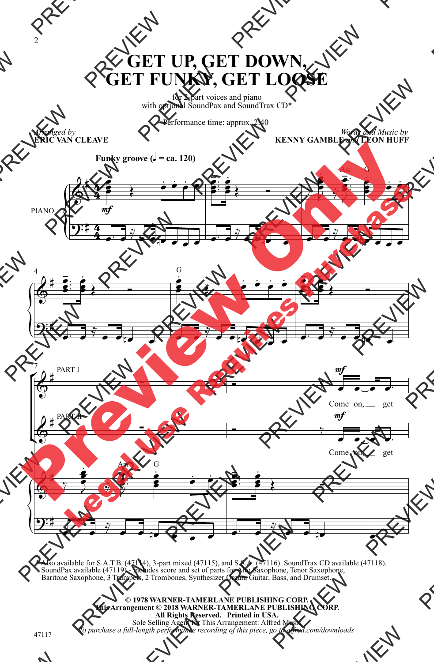## **GET UP, GET DOWN, GET FUNKY, GET LOOSE**

for 2-part voices and piano with optional SoundPax and SoundTrax CD\*

Performance time: approx. 2:40

*Arranged by* **ERIC VAN CLEAVE**

*Words and Music by* **KENNY GAMBLE** *and* **LEON HUFF**



\* Also available for S.A.T.B. (47114), 3-part mixed (47115), and S.S.A. (47116). SoundTrax CD available (47118). SoundPax available (47119) - includes score and set of parts for Alto Saxophone, Tenor Saxophone, Baritone Saxophone, 3 Trumpets, 2 Trombones, Synthesizer Organ, Guitar, Bass, and Drumset.

> **© 1978 WARNER-TAMERLANE PUBLISHING CORP. This Arrangement © 2018 WARNER-TAMERLANE PUBLISHING CORP. All Rights Reserved. Printed in USA.** Sole Selling Agent for This Arrangement: Alfred Music *To purchase a full-length performance recording of this piece, go to alfred.com/downloads*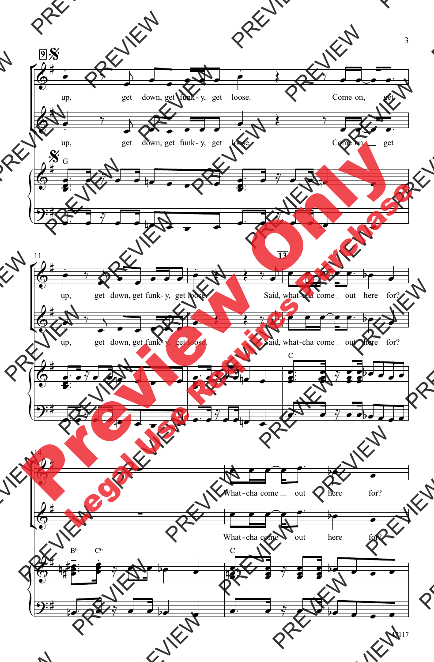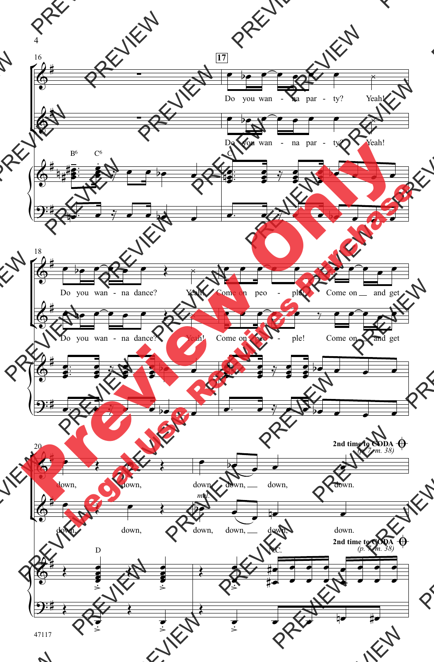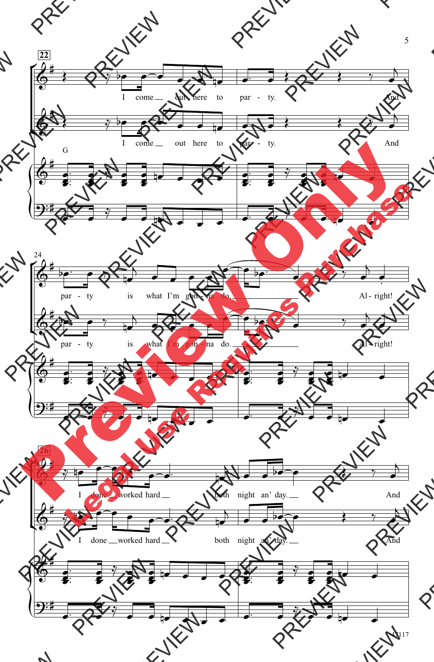

5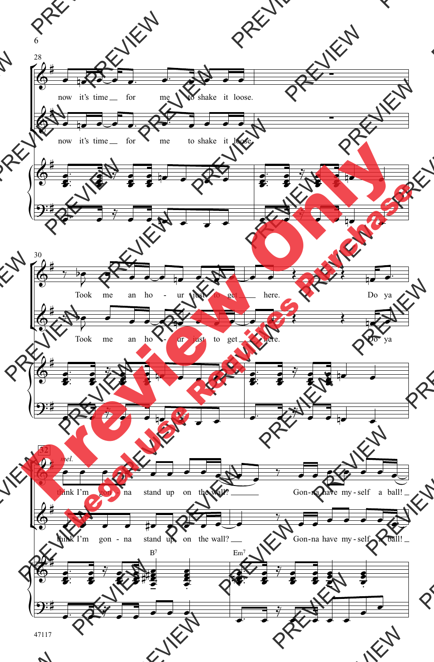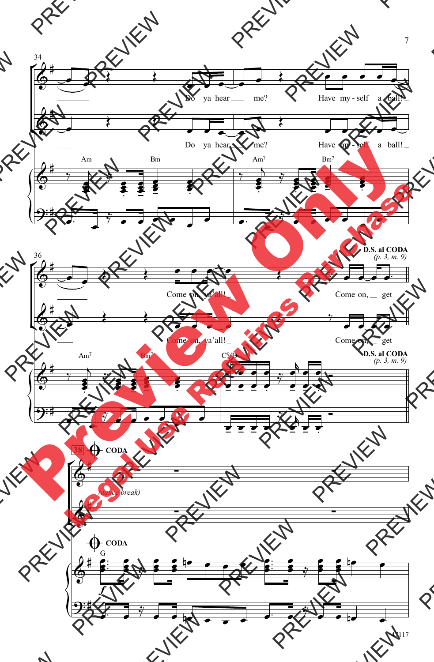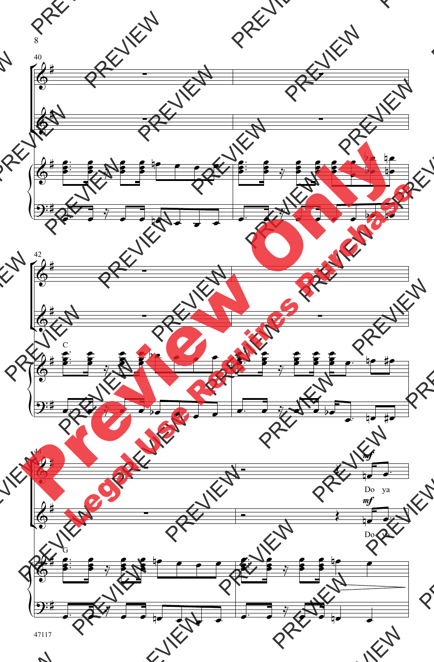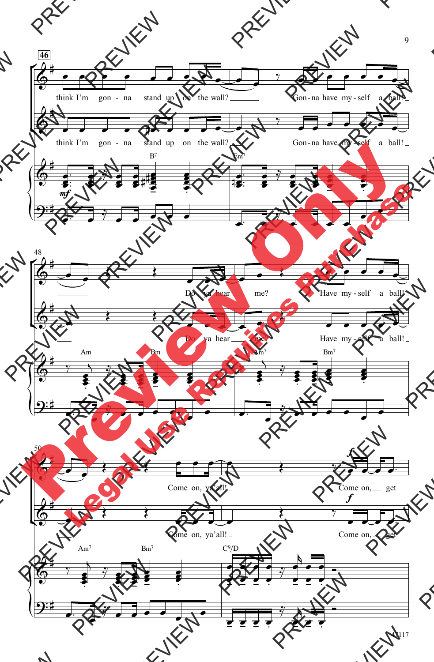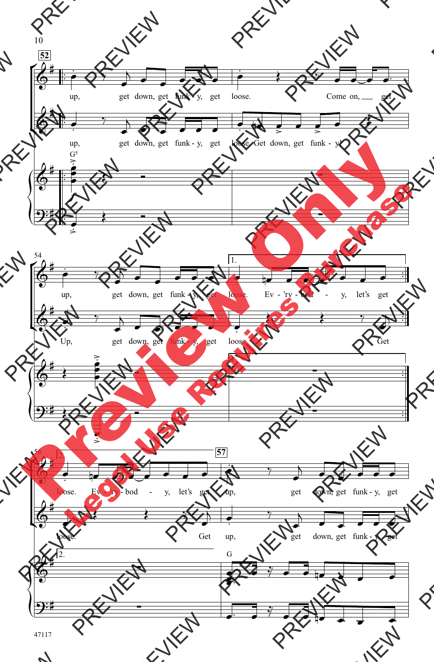